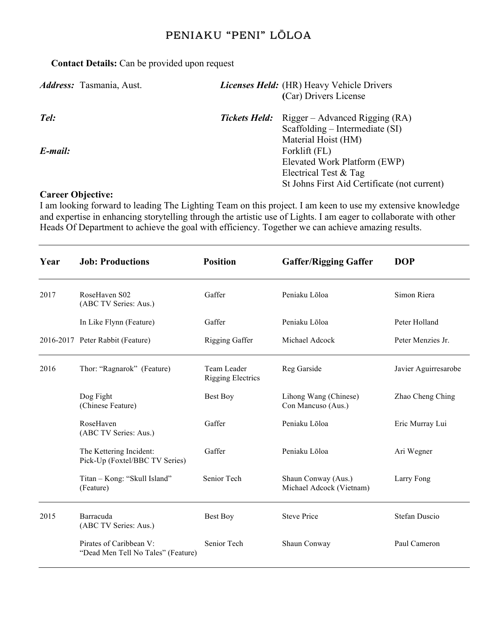### **Contact Details:** Can be provided upon request

| <i>Address:</i> Tasmania, Aust. | Licenses Held: (HR) Heavy Vehicle Drivers<br>(Car) Drivers License |                                                                                          |  |
|---------------------------------|--------------------------------------------------------------------|------------------------------------------------------------------------------------------|--|
| Tel:                            |                                                                    | <b>Tickets Held:</b> Rigger – Advanced Rigging (RA)<br>Scaffolding – Intermediate $(SI)$ |  |
| E-mail:                         |                                                                    | Material Hoist (HM)<br>Forklift (FL)<br>Elevated Work Platform (EWP)                     |  |
|                                 |                                                                    | Electrical Test & Tag<br>St Johns First Aid Certificate (not current)                    |  |
| <b>Career Objective:</b>        |                                                                    |                                                                                          |  |

#### I am looking forward to leading The Lighting Team on this project. I am keen to use my extensive knowledge and expertise in enhancing storytelling through the artistic use of Lights. I am eager to collaborate with other Heads Of Department to achieve the goal with efficiency. Together we can achieve amazing results.

| Year | <b>Job: Productions</b>                                       | <b>Position</b>                         | <b>Gaffer/Rigging Gaffer</b>                    | <b>DOP</b>           |
|------|---------------------------------------------------------------|-----------------------------------------|-------------------------------------------------|----------------------|
| 2017 | RoseHaven S02<br>(ABC TV Series: Aus.)                        | Gaffer                                  | Peniaku Lōloa                                   | Simon Riera          |
|      | In Like Flynn (Feature)                                       | Gaffer                                  | Peniaku Lōloa                                   | Peter Holland        |
|      | 2016-2017 Peter Rabbit (Feature)                              | <b>Rigging Gaffer</b>                   | Michael Adcock                                  | Peter Menzies Jr.    |
| 2016 | Thor: "Ragnarok" (Feature)                                    | Team Leader<br><b>Rigging Electrics</b> | Reg Garside                                     | Javier Aguirresarobe |
|      | Dog Fight<br>(Chinese Feature)                                | Best Boy                                | Lihong Wang (Chinese)<br>Con Mancuso (Aus.)     | Zhao Cheng Ching     |
|      | RoseHaven<br>(ABC TV Series: Aus.)                            | Gaffer                                  | Peniaku Lōloa                                   | Eric Murray Lui      |
|      | The Kettering Incident:<br>Pick-Up (Foxtel/BBC TV Series)     | Gaffer                                  | Peniaku Lõloa                                   | Ari Wegner           |
|      | Titan - Kong: "Skull Island"<br>(Feature)                     | Senior Tech                             | Shaun Conway (Aus.)<br>Michael Adcock (Vietnam) | Larry Fong           |
| 2015 | Barracuda<br>(ABC TV Series: Aus.)                            | Best Boy                                | <b>Steve Price</b>                              | <b>Stefan Duscio</b> |
|      | Pirates of Caribbean V:<br>"Dead Men Tell No Tales" (Feature) | Senior Tech                             | Shaun Conway                                    | Paul Cameron         |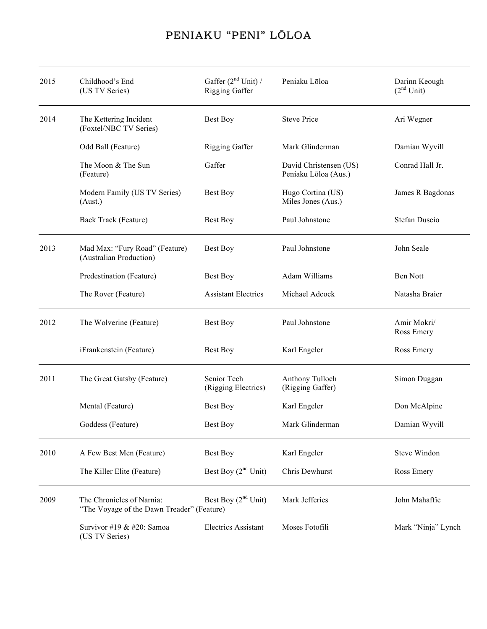| 2015 | Childhood's End<br>(US TV Series)                                       | Gaffer $(2nd Unit)$<br><b>Rigging Gaffer</b> | Peniaku Lōloa                                  | Darinn Keough<br>(2 <sup>nd</sup> Unit) |
|------|-------------------------------------------------------------------------|----------------------------------------------|------------------------------------------------|-----------------------------------------|
| 2014 | The Kettering Incident<br>(Foxtel/NBC TV Series)                        | Best Boy                                     | <b>Steve Price</b>                             | Ari Wegner                              |
|      | Odd Ball (Feature)                                                      | Rigging Gaffer                               | Mark Glinderman                                | Damian Wyvill                           |
|      | The Moon & The Sun<br>(Feature)                                         | Gaffer                                       | David Christensen (US)<br>Peniaku Lōloa (Aus.) | Conrad Hall Jr.                         |
|      | Modern Family (US TV Series)<br>(Aust.)                                 | <b>Best Boy</b>                              | Hugo Cortina (US)<br>Miles Jones (Aus.)        | James R Bagdonas                        |
|      | Back Track (Feature)                                                    | Best Boy                                     | Paul Johnstone                                 | Stefan Duscio                           |
| 2013 | Mad Max: "Fury Road" (Feature)<br>(Australian Production)               | Best Boy                                     | Paul Johnstone                                 | John Seale                              |
|      | Predestination (Feature)                                                | <b>Best Boy</b>                              | Adam Williams                                  | Ben Nott                                |
|      | The Rover (Feature)                                                     | <b>Assistant Electrics</b>                   | Michael Adcock                                 | Natasha Braier                          |
| 2012 | The Wolverine (Feature)                                                 | <b>Best Boy</b>                              | Paul Johnstone                                 | Amir Mokri/<br>Ross Emery               |
|      | iFrankenstein (Feature)                                                 | <b>Best Boy</b>                              | Karl Engeler                                   | Ross Emery                              |
| 2011 | The Great Gatsby (Feature)                                              | Senior Tech<br>(Rigging Electrics)           | Anthony Tulloch<br>(Rigging Gaffer)            | Simon Duggan                            |
|      | Mental (Feature)                                                        | <b>Best Boy</b>                              | Karl Engeler                                   | Don McAlpine                            |
|      | Goddess (Feature)                                                       | Best Boy                                     | Mark Glinderman                                | Damian Wyvill                           |
| 2010 | A Few Best Men (Feature)                                                | <b>Best Boy</b>                              | Karl Engeler                                   | Steve Windon                            |
|      | The Killer Elite (Feature)                                              | Best Boy $(2nd Unit)$                        | Chris Dewhurst                                 | Ross Emery                              |
| 2009 | The Chronicles of Narnia:<br>"The Voyage of the Dawn Treader" (Feature) | Best Boy $(2nd Unit)$                        | Mark Jefferies                                 | John Mahaffie                           |
|      | Survivor #19 & #20: Samoa<br>(US TV Series)                             | <b>Electrics Assistant</b>                   | Moses Fotofili                                 | Mark "Ninja" Lynch                      |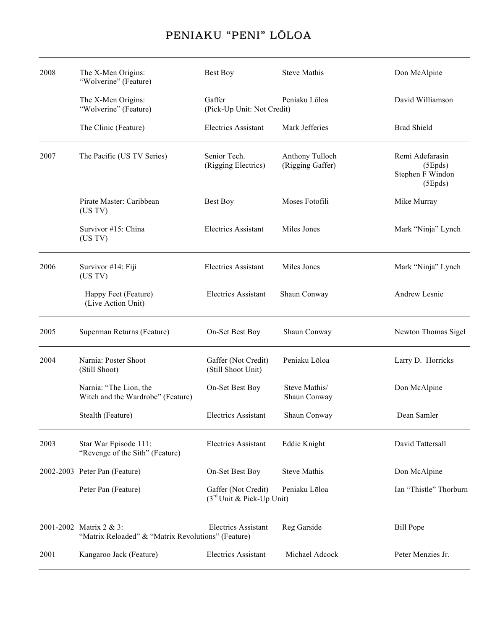| 2008 | The X-Men Origins:<br>"Wolverine" (Feature)                                   | <b>Best Boy</b>                                              | <b>Steve Mathis</b>                 | Don McAlpine                                              |
|------|-------------------------------------------------------------------------------|--------------------------------------------------------------|-------------------------------------|-----------------------------------------------------------|
|      | The X-Men Origins:<br>"Wolverine" (Feature)                                   | Gaffer<br>(Pick-Up Unit: Not Credit)                         | Peniaku Lōloa                       | David Williamson                                          |
|      | The Clinic (Feature)                                                          | <b>Electrics Assistant</b>                                   | Mark Jefferies                      | <b>Brad Shield</b>                                        |
| 2007 | The Pacific (US TV Series)                                                    | Senior Tech.<br>(Rigging Electrics)                          | Anthony Tulloch<br>(Rigging Gaffer) | Remi Adefarasin<br>(5Epds)<br>Stephen F Windon<br>(5Epds) |
|      | Pirate Master: Caribbean<br>(US TV)                                           | Best Boy                                                     | Moses Fotofili                      | Mike Murray                                               |
|      | Survivor #15: China<br>(US TV)                                                | <b>Electrics Assistant</b>                                   | Miles Jones                         | Mark "Ninja" Lynch                                        |
| 2006 | Survivor #14: Fiji<br>(US TV)                                                 | <b>Electrics Assistant</b>                                   | Miles Jones                         | Mark "Ninja" Lynch                                        |
|      | Happy Feet (Feature)<br>(Live Action Unit)                                    | <b>Electrics Assistant</b>                                   | Shaun Conway                        | Andrew Lesnie                                             |
| 2005 | Superman Returns (Feature)                                                    | On-Set Best Boy                                              | Shaun Conway                        | Newton Thomas Sigel                                       |
| 2004 | Narnia: Poster Shoot<br>(Still Shoot)                                         | Gaffer (Not Credit)<br>(Still Shoot Unit)                    | Peniaku Lōloa                       | Larry D. Horricks                                         |
|      | Narnia: "The Lion, the<br>Witch and the Wardrobe" (Feature)                   | On-Set Best Boy                                              | Steve Mathis/<br>Shaun Conway       | Don McAlpine                                              |
|      | Stealth (Feature)                                                             | <b>Electrics Assistant</b>                                   | Shaun Conway                        | Dean Samler                                               |
| 2003 | Star War Episode 111:<br>"Revenge of the Sith" (Feature)                      | <b>Electrics Assistant</b>                                   | Eddie Knight                        | David Tattersall                                          |
|      | 2002-2003 Peter Pan (Feature)                                                 | On-Set Best Boy                                              | <b>Steve Mathis</b>                 | Don McAlpine                                              |
|      | Peter Pan (Feature)                                                           | Gaffer (Not Credit)<br>(3 <sup>rd</sup> Unit & Pick-Up Unit) | Peniaku Lōloa                       | Ian "Thistle" Thorburn                                    |
|      | 2001-2002 Matrix 2 & 3:<br>"Matrix Reloaded" & "Matrix Revolutions" (Feature) | <b>Electrics Assistant</b>                                   | Reg Garside                         | <b>Bill Pope</b>                                          |
| 2001 | Kangaroo Jack (Feature)                                                       | <b>Electrics Assistant</b>                                   | Michael Adcock                      | Peter Menzies Jr.                                         |